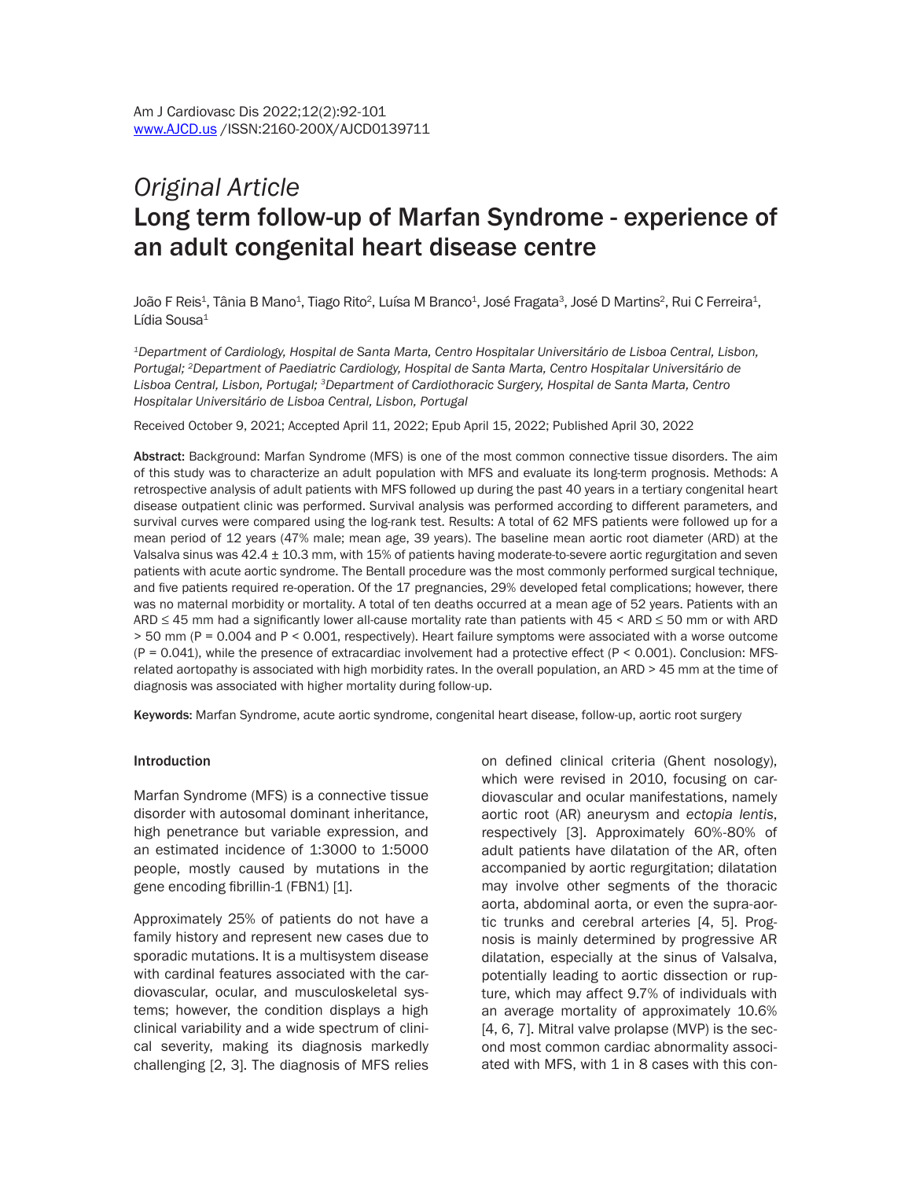# *Original Article*  Long term follow-up of Marfan Syndrome - experience of an adult congenital heart disease centre

João F Reis<sup>1</sup>, Tânia B Mano<sup>1</sup>, Tiago Rito<sup>2</sup>, Luísa M Branco<sup>1</sup>, José Fragata<sup>3</sup>, José D Martins<sup>2</sup>, Rui C Ferreira<sup>1</sup>, Lídia Sousa $1$ 

*1Department of Cardiology, Hospital de Santa Marta, Centro Hospitalar Universitário de Lisboa Central, Lisbon, Portugal; 2Department of Paediatric Cardiology, Hospital de Santa Marta, Centro Hospitalar Universitário de Lisboa Central, Lisbon, Portugal; 3Department of Cardiothoracic Surgery, Hospital de Santa Marta, Centro Hospitalar Universitário de Lisboa Central, Lisbon, Portugal*

Received October 9, 2021; Accepted April 11, 2022; Epub April 15, 2022; Published April 30, 2022

Abstract: Background: Marfan Syndrome (MFS) is one of the most common connective tissue disorders. The aim of this study was to characterize an adult population with MFS and evaluate its long-term prognosis. Methods: A retrospective analysis of adult patients with MFS followed up during the past 40 years in a tertiary congenital heart disease outpatient clinic was performed. Survival analysis was performed according to different parameters, and survival curves were compared using the log-rank test. Results: A total of 62 MFS patients were followed up for a mean period of 12 years (47% male; mean age, 39 years). The baseline mean aortic root diameter (ARD) at the Valsalva sinus was 42.4 ± 10.3 mm, with 15% of patients having moderate-to-severe aortic regurgitation and seven patients with acute aortic syndrome. The Bentall procedure was the most commonly performed surgical technique, and five patients required re-operation. Of the 17 pregnancies, 29% developed fetal complications; however, there was no maternal morbidity or mortality. A total of ten deaths occurred at a mean age of 52 years. Patients with an ARD ≤ 45 mm had a significantly lower all-cause mortality rate than patients with 45 < ARD ≤ 50 mm or with ARD > 50 mm (P = 0.004 and P < 0.001, respectively). Heart failure symptoms were associated with a worse outcome  $(P = 0.041)$ , while the presence of extracardiac involvement had a protective effect  $(P < 0.001)$ . Conclusion: MFSrelated aortopathy is associated with high morbidity rates. In the overall population, an ARD > 45 mm at the time of diagnosis was associated with higher mortality during follow-up.

Keywords: Marfan Syndrome, acute aortic syndrome, congenital heart disease, follow-up, aortic root surgery

#### **Introduction**

Marfan Syndrome (MFS) is a connective tissue disorder with autosomal dominant inheritance, high penetrance but variable expression, and an estimated incidence of 1:3000 to 1:5000 people, mostly caused by mutations in the gene encoding fibrillin-1 (FBN1) [1].

Approximately 25% of patients do not have a family history and represent new cases due to sporadic mutations. It is a multisystem disease with cardinal features associated with the cardiovascular, ocular, and musculoskeletal systems; however, the condition displays a high clinical variability and a wide spectrum of clinical severity, making its diagnosis markedly challenging [2, 3]. The diagnosis of MFS relies on defined clinical criteria (Ghent nosology), which were revised in 2010, focusing on cardiovascular and ocular manifestations, namely aortic root (AR) aneurysm and *ectopia lentis*, respectively [3]. Approximately 60%-80% of adult patients have dilatation of the AR, often accompanied by aortic regurgitation; dilatation may involve other segments of the thoracic aorta, abdominal aorta, or even the supra-aortic trunks and cerebral arteries [4, 5]. Prognosis is mainly determined by progressive AR dilatation, especially at the sinus of Valsalva, potentially leading to aortic dissection or rupture, which may affect 9.7% of individuals with an average mortality of approximately 10.6% [4, 6, 7]. Mitral valve prolapse (MVP) is the second most common cardiac abnormality associated with MFS, with 1 in 8 cases with this con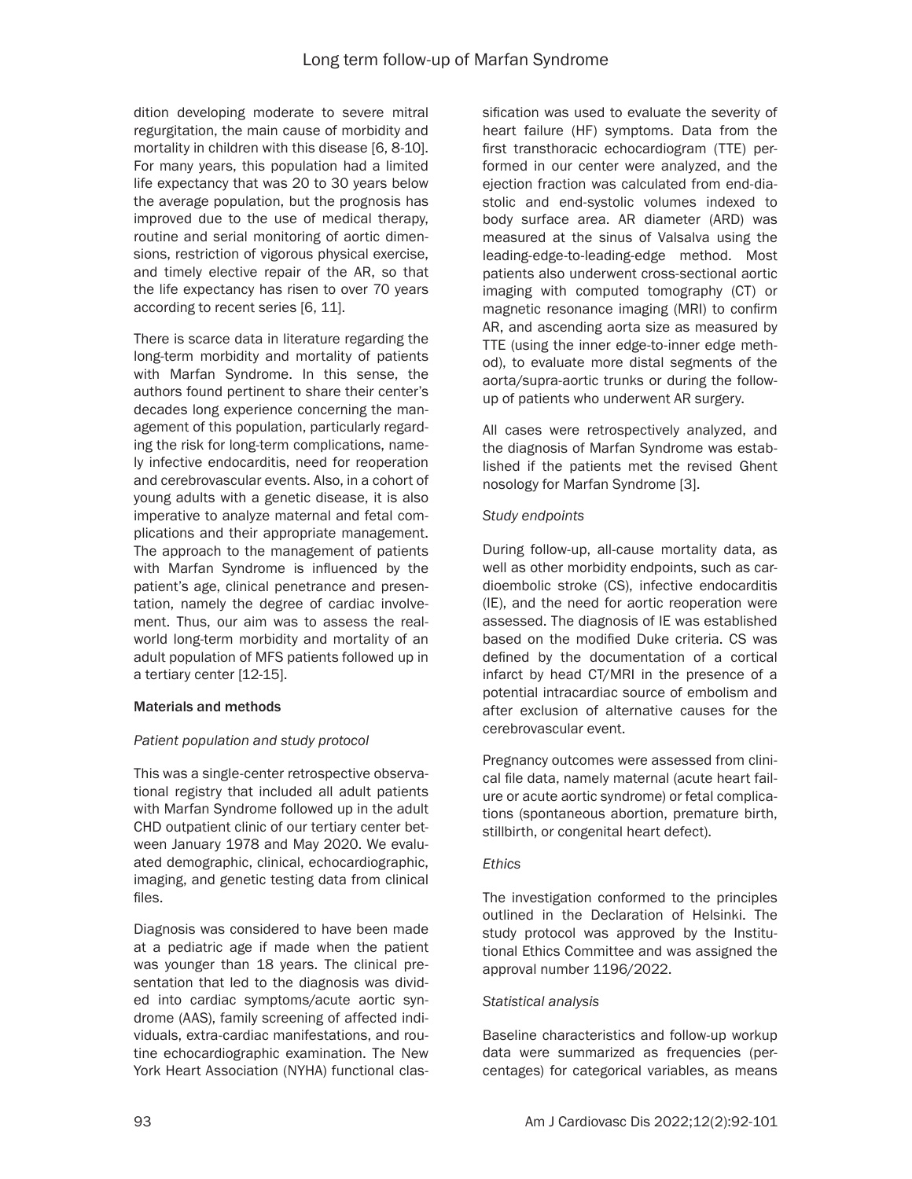dition developing moderate to severe mitral regurgitation, the main cause of morbidity and mortality in children with this disease [6, 8-10]. For many years, this population had a limited life expectancy that was 20 to 30 years below the average population, but the prognosis has improved due to the use of medical therapy, routine and serial monitoring of aortic dimensions, restriction of vigorous physical exercise, and timely elective repair of the AR, so that the life expectancy has risen to over 70 years according to recent series [6, 11].

There is scarce data in literature regarding the long-term morbidity and mortality of patients with Marfan Syndrome. In this sense, the authors found pertinent to share their center's decades long experience concerning the management of this population, particularly regarding the risk for long-term complications, namely infective endocarditis, need for reoperation and cerebrovascular events. Also, in a cohort of young adults with a genetic disease, it is also imperative to analyze maternal and fetal complications and their appropriate management. The approach to the management of patients with Marfan Syndrome is influenced by the patient's age, clinical penetrance and presentation, namely the degree of cardiac involvement. Thus, our aim was to assess the realworld long-term morbidity and mortality of an adult population of MFS patients followed up in a tertiary center [12-15].

## Materials and methods

## *Patient population and study protocol*

This was a single-center retrospective observational registry that included all adult patients with Marfan Syndrome followed up in the adult CHD outpatient clinic of our tertiary center between January 1978 and May 2020. We evaluated demographic, clinical, echocardiographic, imaging, and genetic testing data from clinical files.

Diagnosis was considered to have been made at a pediatric age if made when the patient was younger than 18 years. The clinical presentation that led to the diagnosis was divided into cardiac symptoms/acute aortic syndrome (AAS), family screening of affected individuals, extra-cardiac manifestations, and routine echocardiographic examination. The New York Heart Association (NYHA) functional classification was used to evaluate the severity of heart failure (HF) symptoms. Data from the first transthoracic echocardiogram (TTE) performed in our center were analyzed, and the ejection fraction was calculated from end-diastolic and end-systolic volumes indexed to body surface area. AR diameter (ARD) was measured at the sinus of Valsalva using the leading-edge-to-leading-edge method. Most patients also underwent cross-sectional aortic imaging with computed tomography (CT) or magnetic resonance imaging (MRI) to confirm AR, and ascending aorta size as measured by TTE (using the inner edge-to-inner edge method), to evaluate more distal segments of the aorta/supra-aortic trunks or during the followup of patients who underwent AR surgery.

All cases were retrospectively analyzed, and the diagnosis of Marfan Syndrome was established if the patients met the revised Ghent nosology for Marfan Syndrome [3].

#### *Study endpoints*

During follow-up, all-cause mortality data, as well as other morbidity endpoints, such as cardioembolic stroke (CS), infective endocarditis (IE), and the need for aortic reoperation were assessed. The diagnosis of IE was established based on the modified Duke criteria. CS was defined by the documentation of a cortical infarct by head CT/MRI in the presence of a potential intracardiac source of embolism and after exclusion of alternative causes for the cerebrovascular event.

Pregnancy outcomes were assessed from clinical file data, namely maternal (acute heart failure or acute aortic syndrome) or fetal complications (spontaneous abortion, premature birth, stillbirth, or congenital heart defect).

#### *Ethics*

The investigation conformed to the principles outlined in the Declaration of Helsinki. The study protocol was approved by the Institutional Ethics Committee and was assigned the approval number 1196/2022.

#### *Statistical analysis*

Baseline characteristics and follow-up workup data were summarized as frequencies (percentages) for categorical variables, as means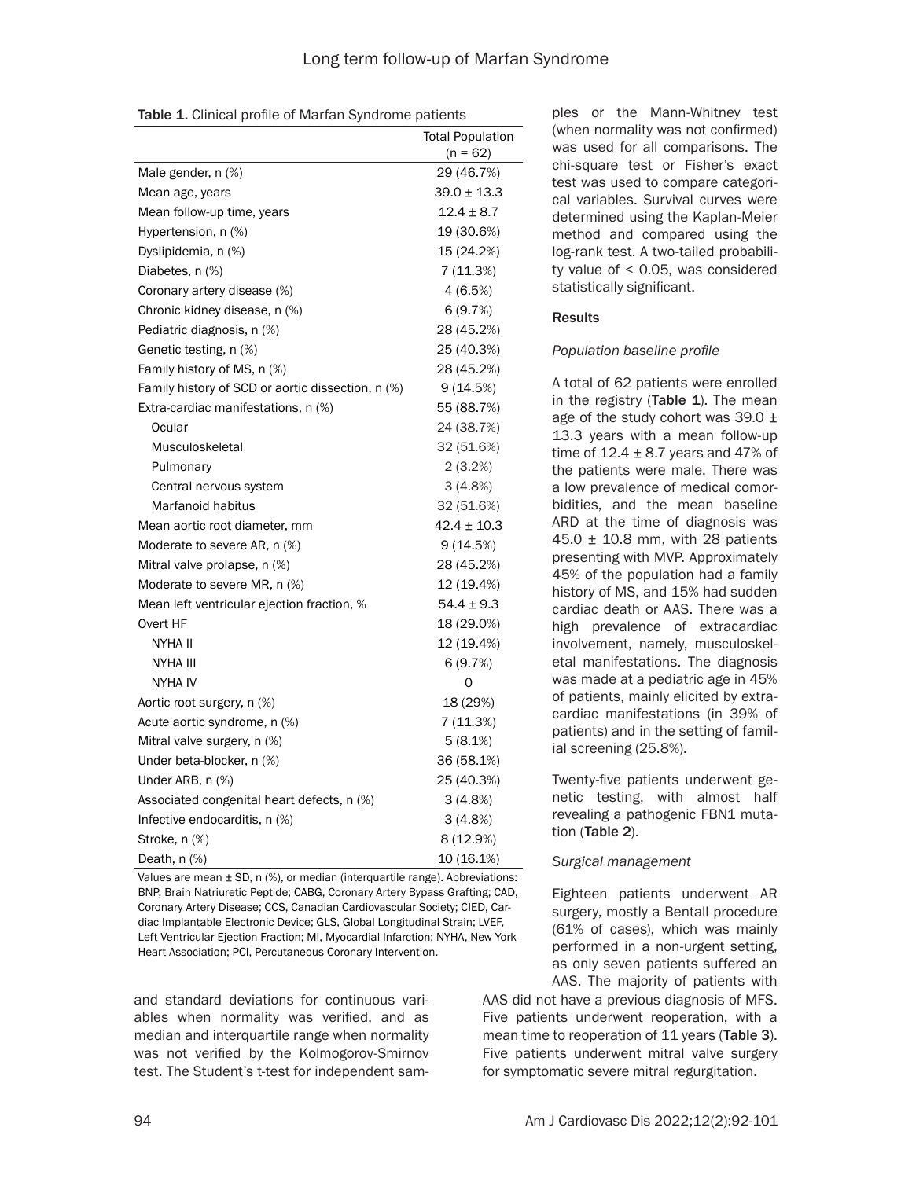|  |  | Table 1. Clinical profile of Marfan Syndrome patients |
|--|--|-------------------------------------------------------|
|--|--|-------------------------------------------------------|

|                                                   | <b>Total Population</b> |
|---------------------------------------------------|-------------------------|
|                                                   | $(n = 62)$              |
| Male gender, n (%)                                | 29 (46.7%)              |
| Mean age, years                                   | $39.0 \pm 13.3$         |
| Mean follow-up time, years                        | $12.4 \pm 8.7$          |
| Hypertension, n (%)                               | 19 (30.6%)              |
| Dyslipidemia, n (%)                               | 15 (24.2%)              |
| Diabetes, n (%)                                   | 7(11.3%)                |
| Coronary artery disease (%)                       | 4(6.5%)                 |
| Chronic kidney disease, n (%)                     | 6(9.7%)                 |
| Pediatric diagnosis, n (%)                        | 28 (45.2%)              |
| Genetic testing, n (%)                            | 25 (40.3%)              |
| Family history of MS, n (%)                       | 28 (45.2%)              |
| Family history of SCD or aortic dissection, n (%) | 9(14.5%)                |
| Extra-cardiac manifestations, n (%)               | 55 (88.7%)              |
| Ocular                                            | 24 (38.7%)              |
| Musculoskeletal                                   | 32 (51.6%)              |
| Pulmonary                                         | 2(3.2%)                 |
| Central nervous system                            | 3(4.8%)                 |
| Marfanoid habitus                                 | 32 (51.6%)              |
| Mean aortic root diameter, mm                     | $42.4 \pm 10.3$         |
| Moderate to severe AR, n (%)                      | 9(14.5%)                |
| Mitral valve prolapse, n (%)                      | 28 (45.2%)              |
| Moderate to severe MR, n (%)                      | 12 (19.4%)              |
| Mean left ventricular ejection fraction, %        | $54.4 \pm 9.3$          |
| Overt HF                                          | 18 (29.0%)              |
| NYHA II                                           | 12 (19.4%)              |
| NYHA III                                          | 6(9.7%)                 |
| NYHA IV                                           | 0                       |
| Aortic root surgery, n (%)                        | 18 (29%)                |
| Acute aortic syndrome, n (%)                      | 7 (11.3%)               |
| Mitral valve surgery, n (%)                       | 5(8.1%)                 |
| Under beta-blocker, n (%)                         | 36 (58.1%)              |
| Under ARB, n (%)                                  | 25 (40.3%)              |
| Associated congenital heart defects, n (%)        | 3(4.8%)                 |
| Infective endocarditis, n (%)                     | 3(4.8%)                 |
| Stroke, n (%)                                     | 8 (12.9%)               |
| Death, n (%)                                      | 10 (16.1%)              |

Values are mean ± SD, n (%), or median (interquartile range). Abbreviations: BNP, Brain Natriuretic Peptide; CABG, Coronary Artery Bypass Grafting; CAD, Coronary Artery Disease; CCS, Canadian Cardiovascular Society; CIED, Cardiac Implantable Electronic Device; GLS, Global Longitudinal Strain; LVEF, Left Ventricular Ejection Fraction; MI, Myocardial Infarction; NYHA, New York Heart Association; PCI, Percutaneous Coronary Intervention.

and standard deviations for continuous variables when normality was verified, and as median and interquartile range when normality was not verified by the Kolmogorov-Smirnov test. The Student's t-test for independent sam-

ples or the Mann-Whitney test (when normality was not confirmed) was used for all comparisons. The chi-square test or Fisher's exact test was used to compare categorical variables. Survival curves were determined using the Kaplan-Meier method and compared using the log-rank test. A two-tailed probability value of < 0.05, was considered statistically significant.

## **Results**

#### *Population baseline profile*

A total of 62 patients were enrolled in the registry  $(Table 1)$ . The mean age of the study cohort was  $39.0 \pm$ 13.3 years with a mean follow-up time of  $12.4 \pm 8.7$  years and 47% of the patients were male. There was a low prevalence of medical comorbidities, and the mean baseline ARD at the time of diagnosis was  $45.0 \pm 10.8$  mm, with 28 patients presenting with MVP. Approximately 45% of the population had a family history of MS, and 15% had sudden cardiac death or AAS. There was a high prevalence of extracardiac involvement, namely, musculoskeletal manifestations. The diagnosis was made at a pediatric age in 45% of patients, mainly elicited by extracardiac manifestations (in 39% of patients) and in the setting of familial screening (25.8%).

Twenty-five patients underwent genetic testing, with almost half revealing a pathogenic FBN1 mutation (Table 2).

## *Surgical management*

Eighteen patients underwent AR surgery, mostly a Bentall procedure (61% of cases), which was mainly performed in a non-urgent setting, as only seven patients suffered an AAS. The majority of patients with

AAS did not have a previous diagnosis of MFS. Five patients underwent reoperation, with a mean time to reoperation of 11 years (Table 3). Five patients underwent mitral valve surgery for symptomatic severe mitral regurgitation.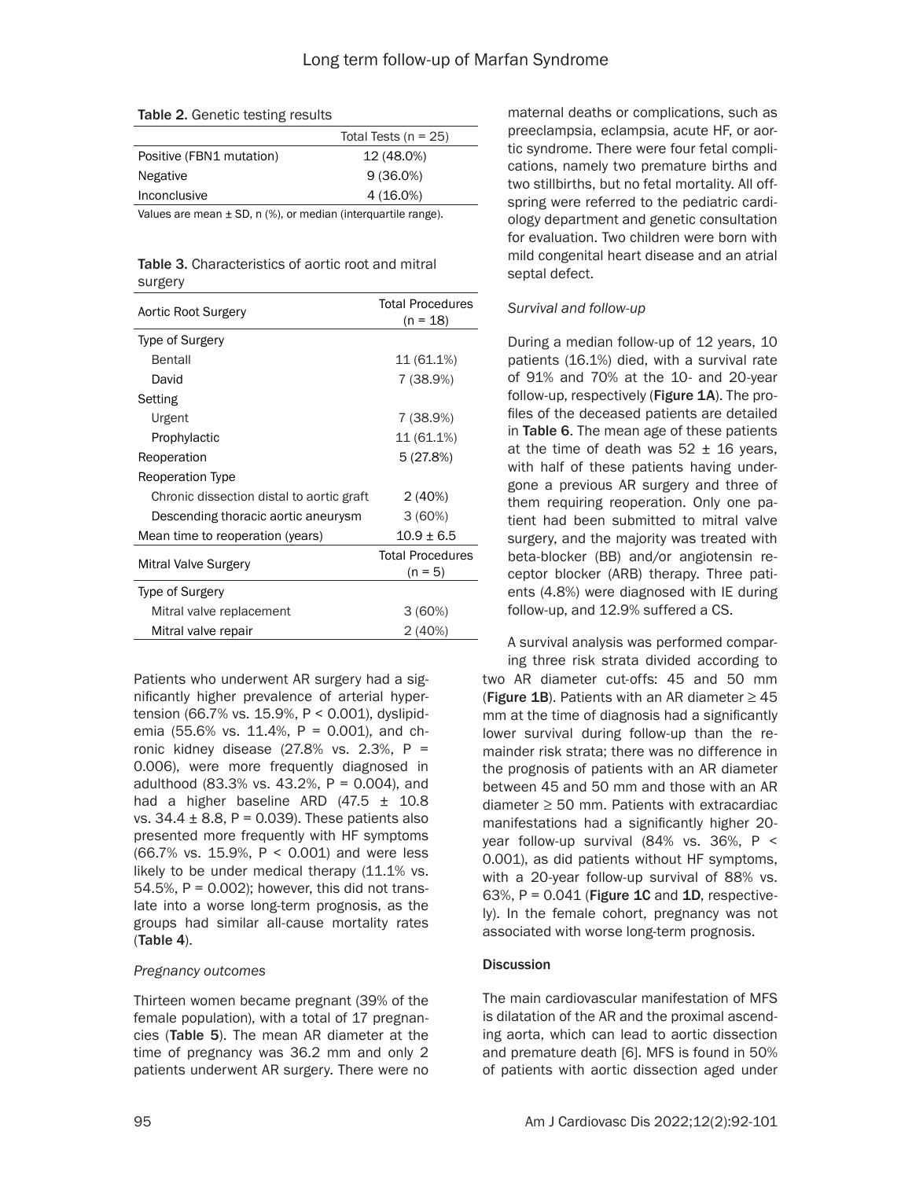|                          | Total Tests ( $n = 25$ ) |
|--------------------------|--------------------------|
| Positive (FBN1 mutation) | 12 (48.0%)               |
| Negative                 | $9(36.0\%)$              |
| Inconclusive             | 4 (16.0%)                |
|                          |                          |

Values are mean  $\pm$  SD, n (%), or median (interquartile range).

#### Table 3. Characteristics of aortic root and mitral surgery

| Aortic Root Surgery                       | <b>Total Procedures</b><br>$(n = 18)$ |
|-------------------------------------------|---------------------------------------|
| Type of Surgery                           |                                       |
| <b>Bentall</b>                            | 11 (61.1%)                            |
| David                                     | 7 (38.9%)                             |
| Setting                                   |                                       |
| Urgent                                    | 7 (38.9%)                             |
| Prophylactic                              | 11 (61.1%)                            |
| Reoperation                               | 5(27.8%)                              |
| Reoperation Type                          |                                       |
| Chronic dissection distal to aortic graft | 2(40%)                                |
| Descending thoracic aortic aneurysm       | 3(60%)                                |
| Mean time to reoperation (years)          | $10.9 + 6.5$                          |
| Mitral Valve Surgery                      | <b>Total Procedures</b>               |
|                                           | $(n = 5)$                             |
| Type of Surgery                           |                                       |
| Mitral valve replacement                  | 3(60%)                                |
| Mitral valve repair                       | 2 (40%)                               |

Patients who underwent AR surgery had a significantly higher prevalence of arterial hypertension (66.7% vs. 15.9%, P < 0.001), dyslipidemia (55.6% vs. 11.4%, P = 0.001), and chronic kidney disease  $(27.8\% \text{ vs. } 2.3\% , P =$ 0.006), were more frequently diagnosed in adulthood  $(83.3\% \text{ vs. } 43.2\% , P = 0.004)$ , and had a higher baseline ARD  $(47.5 \pm 10.8)$ vs.  $34.4 \pm 8.8$ , P = 0.039). These patients also presented more frequently with HF symptoms (66.7% vs. 15.9%, P < 0.001) and were less likely to be under medical therapy (11.1% vs. 54.5%, P = 0.002); however, this did not translate into a worse long-term prognosis, as the groups had similar all-cause mortality rates (Table 4).

## *Pregnancy outcomes*

Thirteen women became pregnant (39% of the female population), with a total of 17 pregnancies (Table 5). The mean AR diameter at the time of pregnancy was 36.2 mm and only 2 patients underwent AR surgery. There were no

maternal deaths or complications, such as preeclampsia, eclampsia, acute HF, or aortic syndrome. There were four fetal complications, namely two premature births and two stillbirths, but no fetal mortality. All offspring were referred to the pediatric cardiology department and genetic consultation for evaluation. Two children were born with mild congenital heart disease and an atrial septal defect.

## *Survival and follow-up*

During a median follow-up of 12 years, 10 patients (16.1%) died, with a survival rate of 91% and 70% at the 10- and 20-year follow-up, respectively (Figure 1A). The profiles of the deceased patients are detailed in Table 6. The mean age of these patients at the time of death was  $52 \pm 16$  years, with half of these patients having undergone a previous AR surgery and three of them requiring reoperation. Only one patient had been submitted to mitral valve surgery, and the majority was treated with beta-blocker (BB) and/or angiotensin receptor blocker (ARB) therapy. Three patients (4.8%) were diagnosed with IE during follow-up, and 12.9% suffered a CS.

A survival analysis was performed compar-

two AR diameter cut-offs: 45 and 50 mm (Figure 1B). Patients with an AR diameter  $\geq 45$ mm at the time of diagnosis had a significantly lower survival during follow-up than the remainder risk strata; there was no difference in the prognosis of patients with an AR diameter between 45 and 50 mm and those with an AR diameter  $\geq$  50 mm. Patients with extracardiac manifestations had a significantly higher 20 year follow-up survival (84% vs. 36%, P < 0.001), as did patients without HF symptoms, with a 20-year follow-up survival of 88% vs. 63%,  $P = 0.041$  (Figure 1C and 1D, respectively). In the female cohort, pregnancy was not associated with worse long-term prognosis. ing three risk strata divided according to

## **Discussion**

The main cardiovascular manifestation of MFS is dilatation of the AR and the proximal ascending aorta, which can lead to aortic dissection and premature death [6]. MFS is found in 50% of patients with aortic dissection aged under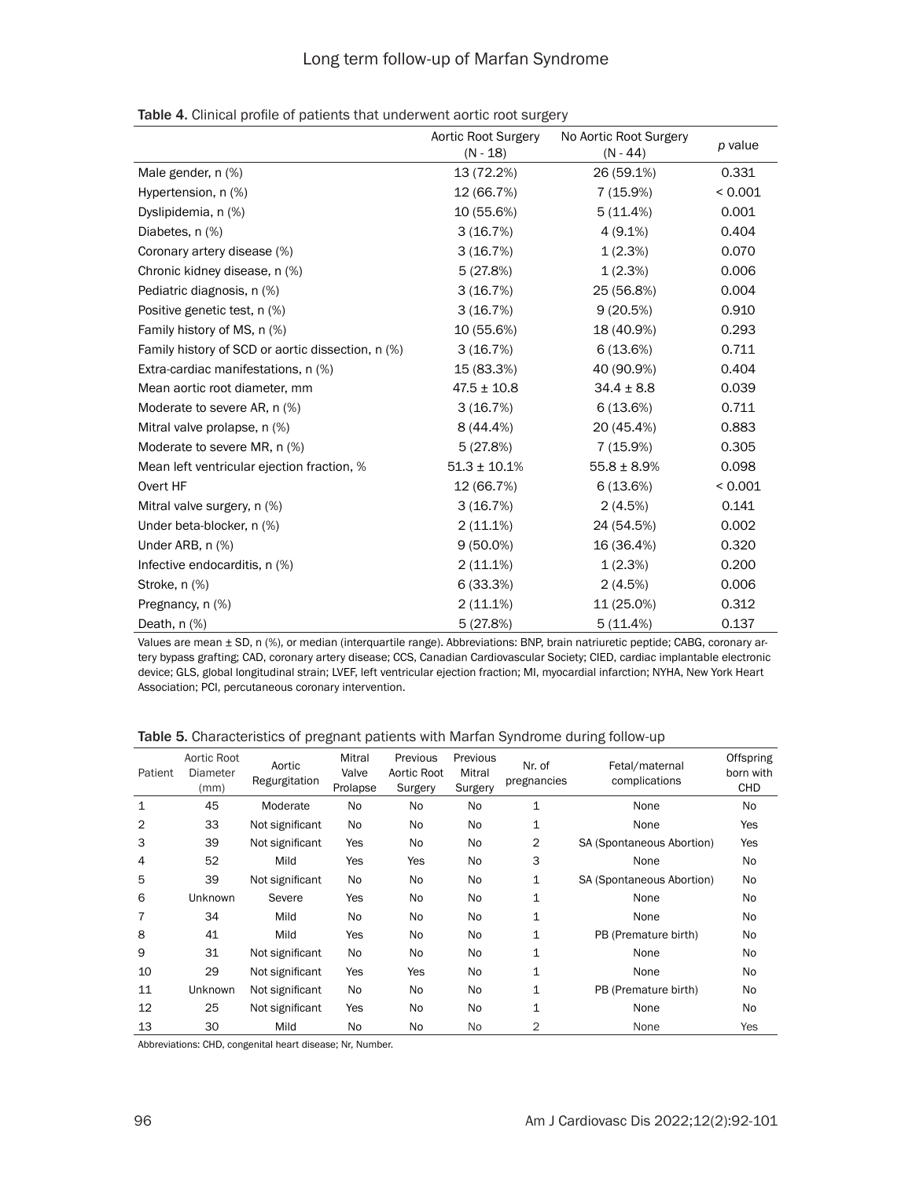|  |  |  |  |  |  | Table 4. Clinical profile of patients that underwent aortic root surgery |
|--|--|--|--|--|--|--------------------------------------------------------------------------|
|--|--|--|--|--|--|--------------------------------------------------------------------------|

|                                                   | Aortic Root Surgery<br>$(N - 18)$ | No Aortic Root Surgery<br>$(N - 44)$ | p value |
|---------------------------------------------------|-----------------------------------|--------------------------------------|---------|
| Male gender, n (%)                                | 13 (72.2%)                        | 26 (59.1%)                           | 0.331   |
| Hypertension, n (%)                               | 12 (66.7%)                        | 7 (15.9%)                            | < 0.001 |
| Dyslipidemia, n (%)                               | 10 (55.6%)                        | 5(11.4%)                             | 0.001   |
| Diabetes, n (%)                                   | 3(16.7%)                          | $4(9.1\%)$                           | 0.404   |
| Coronary artery disease (%)                       | 3(16.7%)                          | 1(2.3%)                              | 0.070   |
| Chronic kidney disease, n (%)                     | 5(27.8%)                          | 1(2.3%)                              | 0.006   |
| Pediatric diagnosis, n (%)                        | 3(16.7%)                          | 25 (56.8%)                           | 0.004   |
| Positive genetic test, n (%)                      | 3(16.7%)                          | 9(20.5%)                             | 0.910   |
| Family history of MS, n (%)                       | 10 (55.6%)                        | 18 (40.9%)                           | 0.293   |
| Family history of SCD or aortic dissection, n (%) | 3(16.7%)                          | 6(13.6%)                             | 0.711   |
| Extra-cardiac manifestations, n (%)               | 15 (83.3%)                        | 40 (90.9%)                           | 0.404   |
| Mean aortic root diameter, mm                     | $47.5 \pm 10.8$                   | $34.4 \pm 8.8$                       | 0.039   |
| Moderate to severe AR, n (%)                      | 3(16.7%)                          | 6(13.6%)                             | 0.711   |
| Mitral valve prolapse, n (%)                      | 8 (44.4%)                         | 20 (45.4%)                           | 0.883   |
| Moderate to severe MR, n (%)                      | 5(27.8%)                          | 7 (15.9%)                            | 0.305   |
| Mean left ventricular ejection fraction, %        | $51.3 \pm 10.1\%$                 | $55.8 \pm 8.9\%$                     | 0.098   |
| Overt HF                                          | 12 (66.7%)                        | 6(13.6%)                             | < 0.001 |
| Mitral valve surgery, n (%)                       | 3(16.7%)                          | 2(4.5%)                              | 0.141   |
| Under beta-blocker, n (%)                         | $2(11.1\%)$                       | 24 (54.5%)                           | 0.002   |
| Under ARB, n (%)                                  | $9(50.0\%)$                       | 16 (36.4%)                           | 0.320   |
| Infective endocarditis, n (%)                     | $2(11.1\%)$                       | 1(2.3%)                              | 0.200   |
| Stroke, n (%)                                     | 6(33.3%)                          | 2(4.5%)                              | 0.006   |
| Pregnancy, n (%)                                  | $2(11.1\%)$                       | 11 (25.0%)                           | 0.312   |
| Death, $n$ $%$                                    | 5(27.8%)                          | 5(11.4%)                             | 0.137   |

Values are mean ± SD, n (%), or median (interquartile range). Abbreviations: BNP, brain natriuretic peptide; CABG, coronary artery bypass grafting; CAD, coronary artery disease; CCS, Canadian Cardiovascular Society; CIED, cardiac implantable electronic device; GLS, global longitudinal strain; LVEF, left ventricular ejection fraction; MI, myocardial infarction; NYHA, New York Heart Association; PCI, percutaneous coronary intervention.

Table 5. Characteristics of pregnant patients with Marfan Syndrome during follow-up

| Patient        | Aortic Root<br>Diameter<br>(mm) | Aortic<br>Regurgitation | Mitral<br>Valve<br>Prolapse | Previous<br>Aortic Root<br>Surgery | Previous<br>Mitral<br>Surgery | Nr. of<br>pregnancies | Fetal/maternal<br>complications | Offspring<br>born with<br><b>CHD</b> |
|----------------|---------------------------------|-------------------------|-----------------------------|------------------------------------|-------------------------------|-----------------------|---------------------------------|--------------------------------------|
| $\mathbf{1}$   | 45                              | Moderate                | <b>No</b>                   | No.                                | <b>No</b>                     | $\mathbf{1}$          | None                            | <b>No</b>                            |
| $\overline{2}$ | 33                              | Not significant         | No                          | N <sub>o</sub>                     | <b>No</b>                     | 1                     | None                            | Yes                                  |
| 3              | 39                              | Not significant         | Yes                         | No.                                | <b>No</b>                     | 2                     | SA (Spontaneous Abortion)       | Yes                                  |
| 4              | 52                              | Mild                    | Yes                         | Yes                                | <b>No</b>                     | 3                     | None                            | <b>No</b>                            |
| 5              | 39                              | Not significant         | <b>No</b>                   | No.                                | <b>No</b>                     | 1                     | SA (Spontaneous Abortion)       | No                                   |
| 6              | <b>Unknown</b>                  | Severe                  | Yes                         | N <sub>o</sub>                     | <b>No</b>                     | $\mathbf 1$           | None                            | <b>No</b>                            |
| $\overline{7}$ | 34                              | Mild                    | <b>No</b>                   | N <sub>o</sub>                     | <b>No</b>                     | 1                     | None                            | <b>No</b>                            |
| 8              | 41                              | Mild                    | Yes                         | No.                                | <b>No</b>                     | $\mathbf 1$           | PB (Premature birth)            | No                                   |
| 9              | 31                              | Not significant         | No                          | No.                                | <b>No</b>                     | 1                     | None                            | No                                   |
| 10             | 29                              | Not significant         | Yes                         | Yes                                | <b>No</b>                     | 1                     | None                            | <b>No</b>                            |
| 11             | Unknown                         | Not significant         | <b>No</b>                   | No.                                | <b>No</b>                     | 1                     | PB (Premature birth)            | <b>No</b>                            |
| 12             | 25                              | Not significant         | Yes                         | No.                                | <b>No</b>                     | $\mathbf 1$           | None                            | <b>No</b>                            |
| 13             | 30                              | Mild                    | <b>No</b>                   | No.                                | <b>No</b>                     | 2                     | None                            | Yes                                  |

Abbreviations: CHD, congenital heart disease; Nr, Number.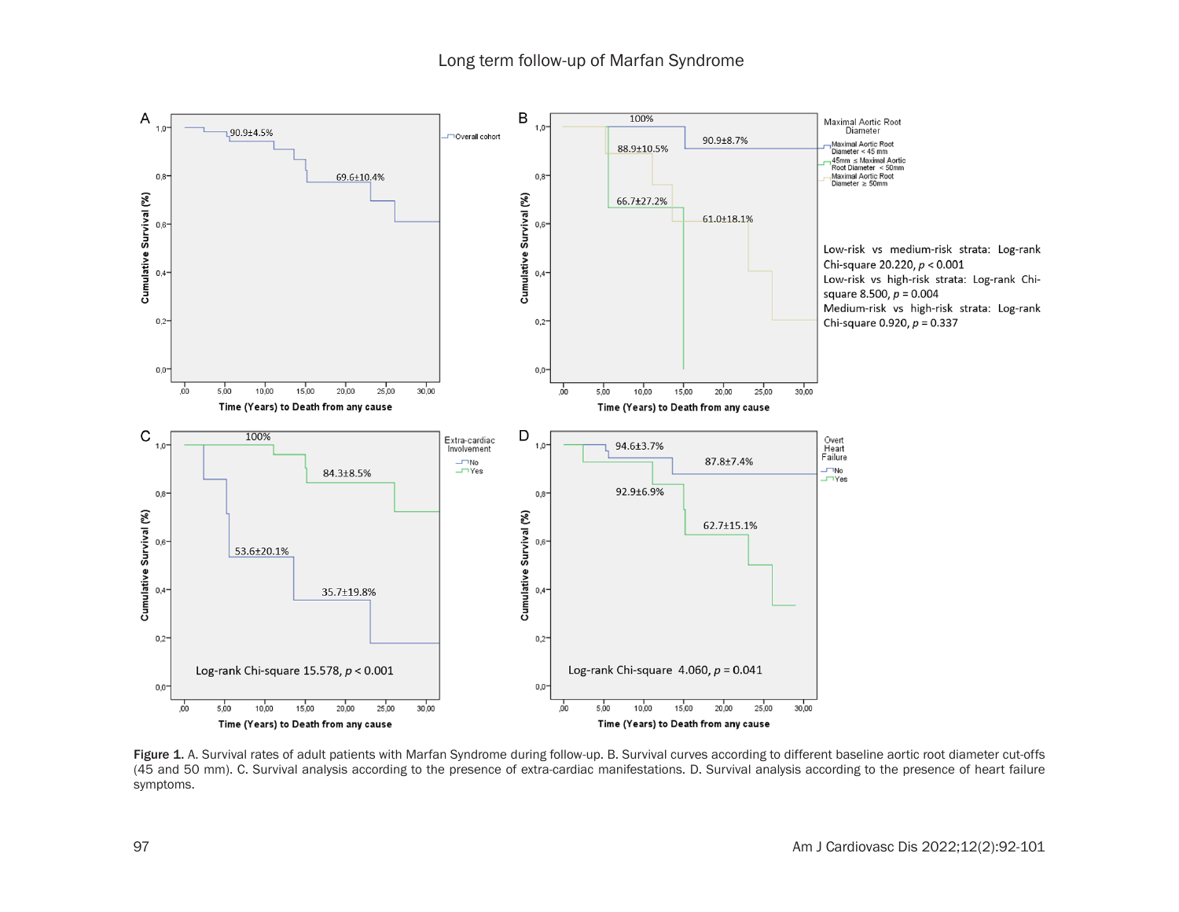

Figure 1. A. Survival rates of adult patients with Marfan Syndrome during follow-up. B. Survival curves according to different baseline aortic root diameter cut-offs (45 and 50 mm). C. Survival analysis according to the presence of extra-cardiac manifestations. D. Survival analysis according to the presence of heart failure symptoms.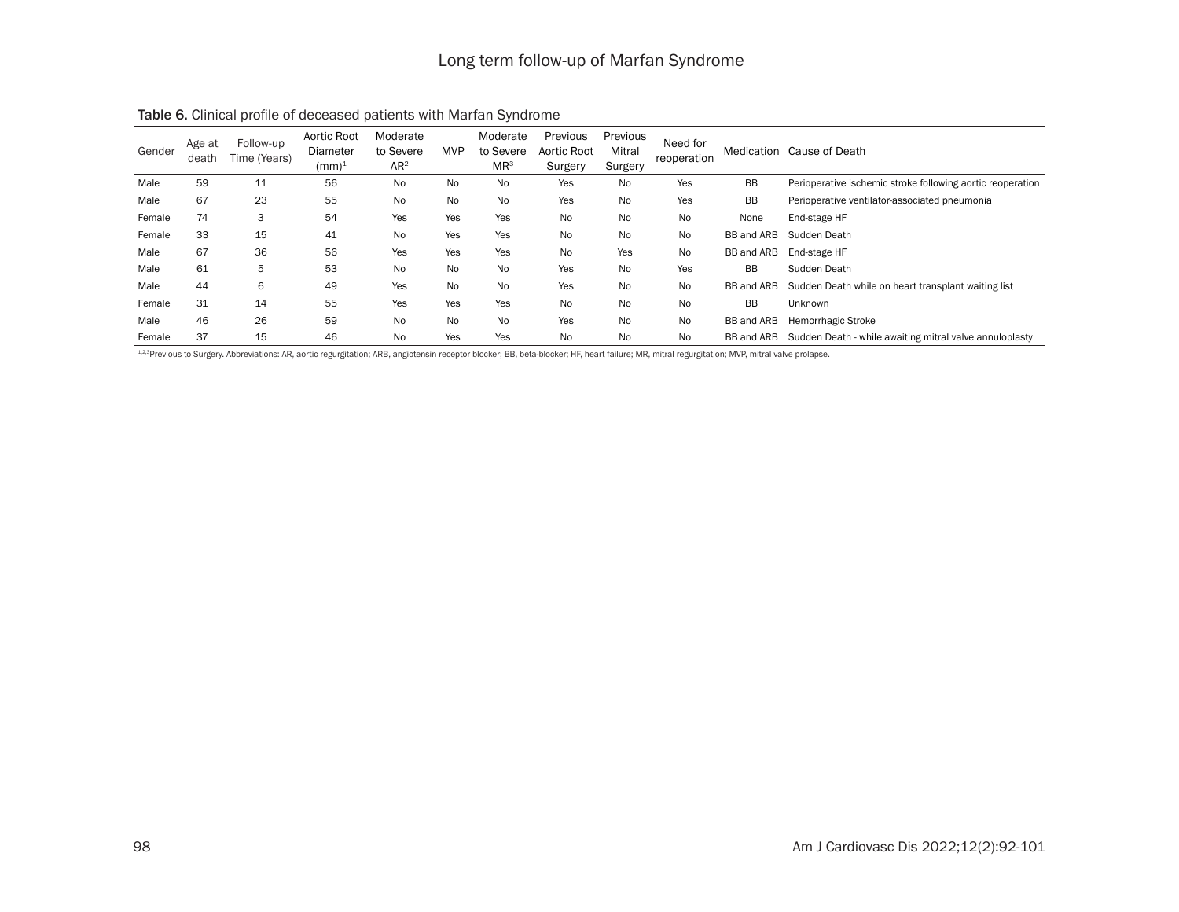| Gender | Age at<br>death | Follow-up<br>Time (Years) | Aortic Root<br>Diameter<br>$(mm)^1$ | Moderate<br>to Severe<br>AR <sup>2</sup> | <b>MVP</b> | Moderate<br>to Severe<br>$MR^3$ | Previous<br>Aortic Root<br>Surgery | Previous<br>Mitral<br>Surgery | Need for<br>reoperation |            | Medication Cause of Death                                  |
|--------|-----------------|---------------------------|-------------------------------------|------------------------------------------|------------|---------------------------------|------------------------------------|-------------------------------|-------------------------|------------|------------------------------------------------------------|
| Male   | 59              | 11                        | 56                                  | <b>No</b>                                | No         | No                              | Yes                                | No                            | Yes                     | <b>BB</b>  | Perioperative ischemic stroke following aortic reoperation |
| Male   | 67              | 23                        | 55                                  | <b>No</b>                                | No         | No                              | Yes                                | No                            | Yes                     | <b>BB</b>  | Perioperative ventilator-associated pneumonia              |
| Female | 74              | 3                         | 54                                  | Yes                                      | Yes        | Yes                             | No                                 | No                            | No                      | None       | End-stage HF                                               |
| Female | 33              | 15                        | 41                                  | <b>No</b>                                | Yes        | Yes                             | No                                 | No                            | <b>No</b>               | BB and ARB | Sudden Death                                               |
| Male   | 67              | 36                        | 56                                  | Yes                                      | Yes        | Yes                             | No                                 | Yes                           | <b>No</b>               | BB and ARB | End-stage HF                                               |
| Male   | 61              | 5                         | 53                                  | <b>No</b>                                | <b>No</b>  | No                              | Yes                                | <b>No</b>                     | Yes                     | <b>BB</b>  | Sudden Death                                               |
| Male   | 44              | 6                         | 49                                  | Yes                                      | No         | No                              | Yes                                | No                            | <b>No</b>               | BB and ARB | Sudden Death while on heart transplant waiting list        |
| Female | 31              | 14                        | 55                                  | Yes                                      | Yes        | Yes                             | No                                 | <b>No</b>                     | <b>No</b>               | <b>BB</b>  | <b>Unknown</b>                                             |
| Male   | 46              | 26                        | 59                                  | <b>No</b>                                | No         | No                              | Yes                                | No                            | <b>No</b>               | BB and ARB | Hemorrhagic Stroke                                         |
| Female | 37              | 15                        | 46                                  | No                                       | Yes        | Yes                             | No                                 | No                            | No                      | BB and ARB | Sudden Death - while awaiting mitral valve annuloplasty    |

Table 6. Clinical profile of deceased patients with Marfan Syndrome

1,2,3Previous to Surgery. Abbreviations: AR, aortic regurgitation; ARB, angiotensin receptor blocker; BB, beta-blocker; HF, heart failure; MR, mitral regurgitation; MVP, mitral valve prolapse.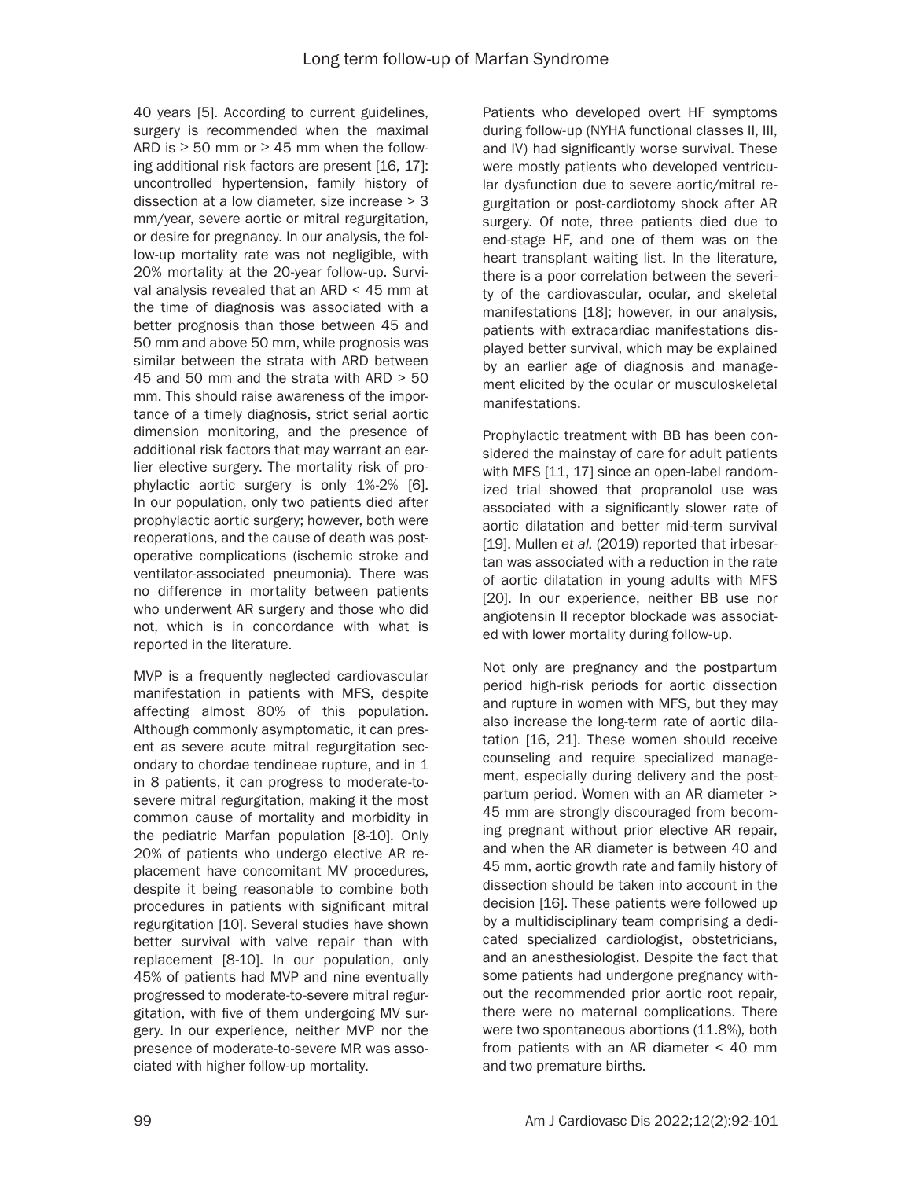40 years [5]. According to current guidelines, surgery is recommended when the maximal ARD is  $\geq$  50 mm or  $\geq$  45 mm when the following additional risk factors are present [16, 17]: uncontrolled hypertension, family history of dissection at a low diameter, size increase > 3 mm/year, severe aortic or mitral regurgitation, or desire for pregnancy. In our analysis, the follow-up mortality rate was not negligible, with 20% mortality at the 20-year follow-up. Survival analysis revealed that an ARD < 45 mm at the time of diagnosis was associated with a better prognosis than those between 45 and 50 mm and above 50 mm, while prognosis was similar between the strata with ARD between 45 and 50 mm and the strata with ARD > 50 mm. This should raise awareness of the importance of a timely diagnosis, strict serial aortic dimension monitoring, and the presence of additional risk factors that may warrant an earlier elective surgery. The mortality risk of prophylactic aortic surgery is only 1%-2% [6]. In our population, only two patients died after prophylactic aortic surgery; however, both were reoperations, and the cause of death was postoperative complications (ischemic stroke and ventilator-associated pneumonia). There was no difference in mortality between patients who underwent AR surgery and those who did not, which is in concordance with what is reported in the literature.

MVP is a frequently neglected cardiovascular manifestation in patients with MFS, despite affecting almost 80% of this population. Although commonly asymptomatic, it can present as severe acute mitral regurgitation secondary to chordae tendineae rupture, and in 1 in 8 patients, it can progress to moderate-tosevere mitral regurgitation, making it the most common cause of mortality and morbidity in the pediatric Marfan population [8-10]. Only 20% of patients who undergo elective AR replacement have concomitant MV procedures, despite it being reasonable to combine both procedures in patients with significant mitral regurgitation [10]. Several studies have shown better survival with valve repair than with replacement [8-10]. In our population, only 45% of patients had MVP and nine eventually progressed to moderate-to-severe mitral regurgitation, with five of them undergoing MV surgery. In our experience, neither MVP nor the presence of moderate-to-severe MR was associated with higher follow-up mortality.

Patients who developed overt HF symptoms during follow-up (NYHA functional classes II, III, and IV) had significantly worse survival. These were mostly patients who developed ventricular dysfunction due to severe aortic/mitral regurgitation or post-cardiotomy shock after AR surgery. Of note, three patients died due to end-stage HF, and one of them was on the heart transplant waiting list. In the literature, there is a poor correlation between the severity of the cardiovascular, ocular, and skeletal manifestations [18]; however, in our analysis, patients with extracardiac manifestations displayed better survival, which may be explained by an earlier age of diagnosis and management elicited by the ocular or musculoskeletal manifestations.

Prophylactic treatment with BB has been considered the mainstay of care for adult patients with MFS [11, 17] since an open-label randomized trial showed that propranolol use was associated with a significantly slower rate of aortic dilatation and better mid-term survival [19]. Mullen *et al.* (2019) reported that irbesartan was associated with a reduction in the rate of aortic dilatation in young adults with MFS [20]. In our experience, neither BB use nor angiotensin II receptor blockade was associated with lower mortality during follow-up.

Not only are pregnancy and the postpartum period high-risk periods for aortic dissection and rupture in women with MFS, but they may also increase the long-term rate of aortic dilatation [16, 21]. These women should receive counseling and require specialized management, especially during delivery and the postpartum period. Women with an AR diameter > 45 mm are strongly discouraged from becoming pregnant without prior elective AR repair, and when the AR diameter is between 40 and 45 mm, aortic growth rate and family history of dissection should be taken into account in the decision [16]. These patients were followed up by a multidisciplinary team comprising a dedicated specialized cardiologist, obstetricians, and an anesthesiologist. Despite the fact that some patients had undergone pregnancy without the recommended prior aortic root repair, there were no maternal complications. There were two spontaneous abortions (11.8%), both from patients with an AR diameter < 40 mm and two premature births.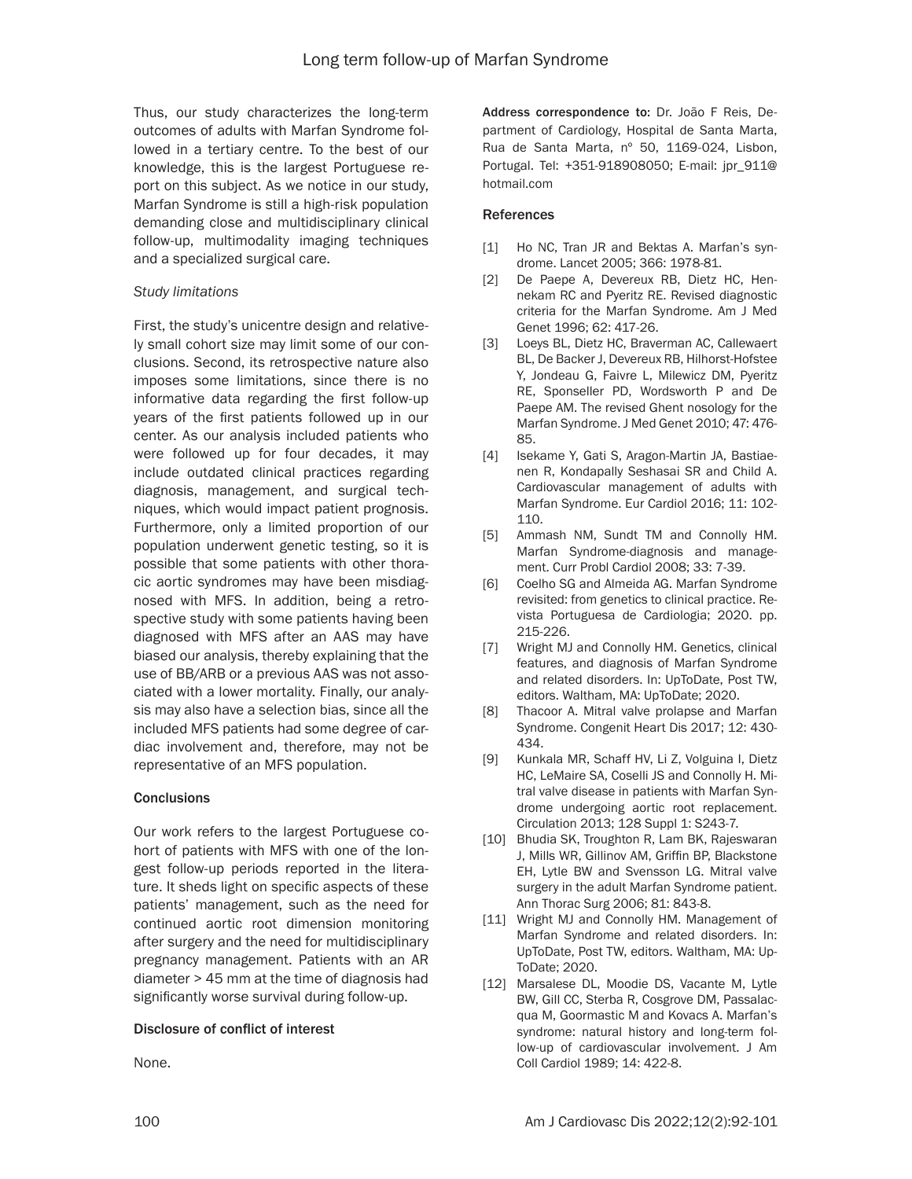Thus, our study characterizes the long-term outcomes of adults with Marfan Syndrome followed in a tertiary centre. To the best of our knowledge, this is the largest Portuguese report on this subject. As we notice in our study, Marfan Syndrome is still a high-risk population demanding close and multidisciplinary clinical follow-up, multimodality imaging techniques and a specialized surgical care.

## *Study limitations*

First, the study's unicentre design and relatively small cohort size may limit some of our conclusions. Second, its retrospective nature also imposes some limitations, since there is no informative data regarding the first follow-up years of the first patients followed up in our center. As our analysis included patients who were followed up for four decades, it may include outdated clinical practices regarding diagnosis, management, and surgical techniques, which would impact patient prognosis. Furthermore, only a limited proportion of our population underwent genetic testing, so it is possible that some patients with other thoracic aortic syndromes may have been misdiagnosed with MFS. In addition, being a retrospective study with some patients having been diagnosed with MFS after an AAS may have biased our analysis, thereby explaining that the use of BB/ARB or a previous AAS was not associated with a lower mortality. Finally, our analysis may also have a selection bias, since all the included MFS patients had some degree of cardiac involvement and, therefore, may not be representative of an MFS population.

## **Conclusions**

Our work refers to the largest Portuguese cohort of patients with MFS with one of the longest follow-up periods reported in the literature. It sheds light on specific aspects of these patients' management, such as the need for continued aortic root dimension monitoring after surgery and the need for multidisciplinary pregnancy management. Patients with an AR diameter > 45 mm at the time of diagnosis had significantly worse survival during follow-up.

## Disclosure of conflict of interest

None.

Address correspondence to: Dr. João F Reis, Department of Cardiology, Hospital de Santa Marta, Rua de Santa Marta, nº 50, 1169-024, Lisbon, Portugal. Tel: +351-918908050; E-mail: jpr\_911@ hotmail.com

#### References

- [1] Ho NC, Tran JR and Bektas A. Marfan's syndrome. Lancet 2005; 366: 1978-81.
- [2] De Paepe A, Devereux RB, Dietz HC, Hennekam RC and Pyeritz RE. Revised diagnostic criteria for the Marfan Syndrome. Am J Med Genet 1996; 62: 417-26.
- [3] Loeys BL, Dietz HC, Braverman AC, Callewaert BL, De Backer J, Devereux RB, Hilhorst-Hofstee Y, Jondeau G, Faivre L, Milewicz DM, Pyeritz RE, Sponseller PD, Wordsworth P and De Paepe AM. The revised Ghent nosology for the Marfan Syndrome. J Med Genet 2010; 47: 476- 85.
- [4] Isekame Y, Gati S, Aragon-Martin JA, Bastiaenen R, Kondapally Seshasai SR and Child A. Cardiovascular management of adults with Marfan Syndrome. Eur Cardiol 2016; 11: 102- 110.
- [5] Ammash NM, Sundt TM and Connolly HM. Marfan Syndrome-diagnosis and management. Curr Probl Cardiol 2008; 33: 7-39.
- [6] Coelho SG and Almeida AG. Marfan Syndrome revisited: from genetics to clinical practice. Revista Portuguesa de Cardiologia; 2020. pp. 215-226.
- [7] Wright MJ and Connolly HM. Genetics, clinical features, and diagnosis of Marfan Syndrome and related disorders. In: UpToDate, Post TW, editors. Waltham, MA: UpToDate; 2020.
- [8] Thacoor A. Mitral valve prolapse and Marfan Syndrome. Congenit Heart Dis 2017; 12: 430- 434.
- [9] Kunkala MR, Schaff HV, Li Z, Volguina I, Dietz HC, LeMaire SA, Coselli JS and Connolly H. Mitral valve disease in patients with Marfan Syndrome undergoing aortic root replacement. Circulation 2013; 128 Suppl 1: S243-7.
- [10] Bhudia SK, Troughton R, Lam BK, Rajeswaran J, Mills WR, Gillinov AM, Griffin BP, Blackstone EH, Lytle BW and Svensson LG. Mitral valve surgery in the adult Marfan Syndrome patient. Ann Thorac Surg 2006; 81: 843-8.
- [11] Wright MJ and Connolly HM. Management of Marfan Syndrome and related disorders. In: UpToDate, Post TW, editors. Waltham, MA: Up-ToDate; 2020.
- [12] Marsalese DL, Moodie DS, Vacante M, Lytle BW, Gill CC, Sterba R, Cosgrove DM, Passalacqua M, Goormastic M and Kovacs A. Marfan's syndrome: natural history and long-term follow-up of cardiovascular involvement. J Am Coll Cardiol 1989; 14: 422-8.